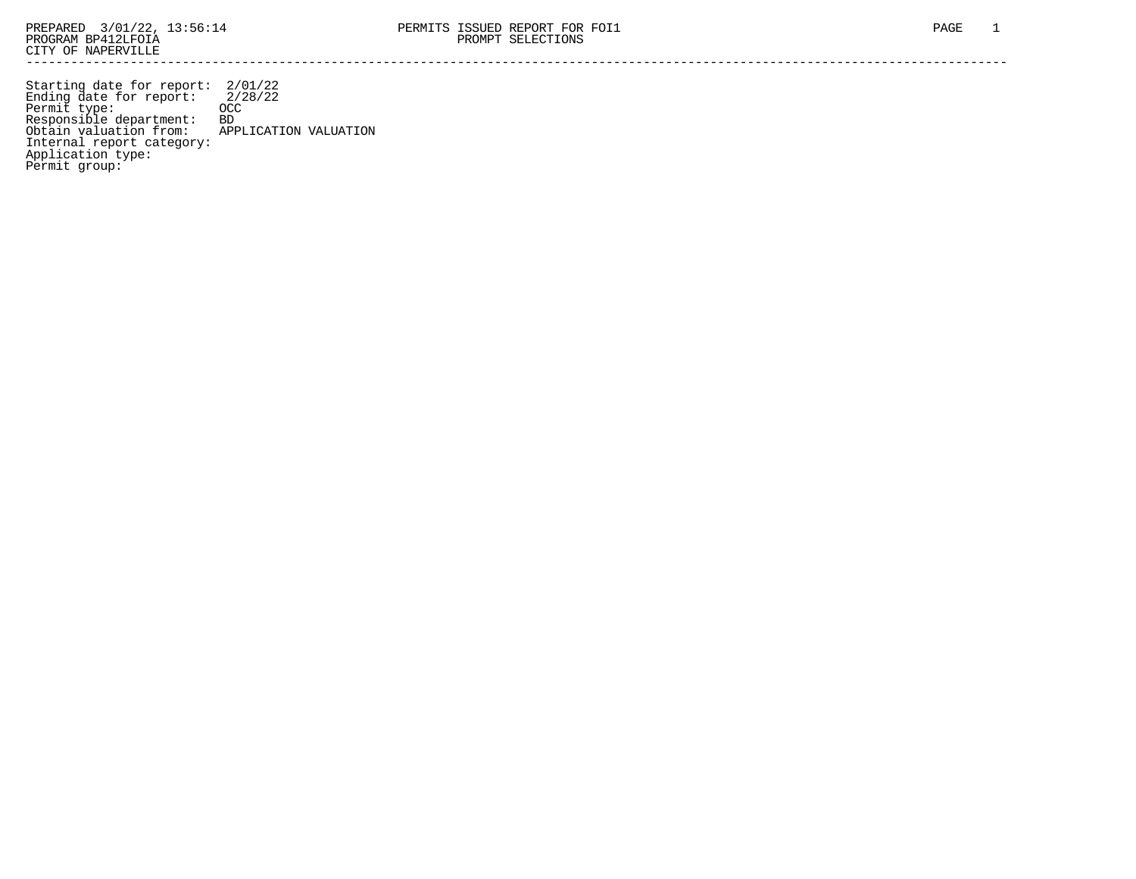------------------------------------------------------------------------------------------------------------------------------------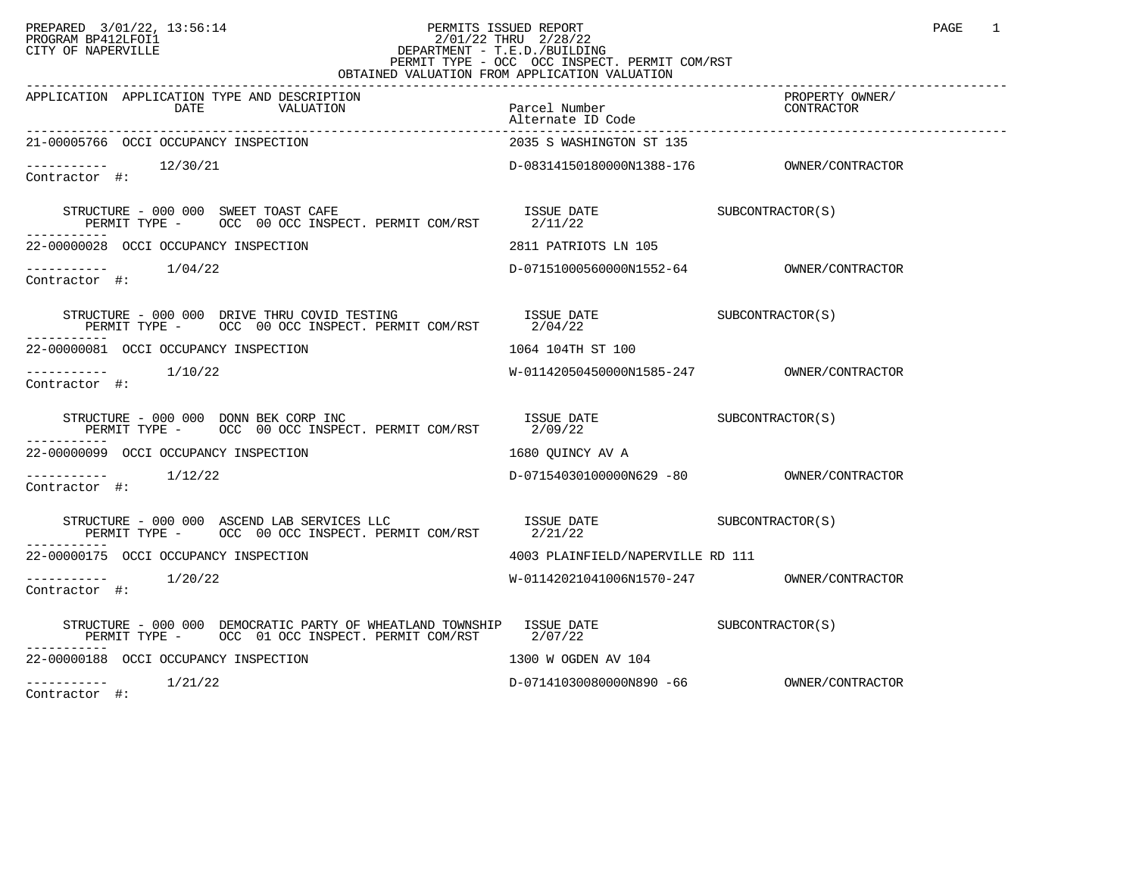## PREPARED 3/01/22, 13:56:14 PERMITS ISSUED REPORT PAGE 1<br>PROGRAM BP412LFOI1 PROGRAM PROGRAM BP412LFOI1 PROGRAM BP412LFOI1 2/01/22 THRU 2/28/22 CITY OF NAPERVILLE **Example 20** CITY OF NAPERVILLE PERMIT TYPE - OCC OCC INSPECT. PERMIT COM/RST

| OBTAINED VALUATION FROM APPLICATION VALUATION                                                                                                      |                                    |                               |  |  |
|----------------------------------------------------------------------------------------------------------------------------------------------------|------------------------------------|-------------------------------|--|--|
| APPLICATION APPLICATION TYPE AND DESCRIPTION<br>DATE<br>VALUATION                                                                                  | Parcel Number<br>Alternate ID Code | PROPERTY OWNER/<br>CONTRACTOR |  |  |
| 21-00005766 OCCI OCCUPANCY INSPECTION                                                                                                              | 2035 S WASHINGTON ST 135           |                               |  |  |
| $--------$ 12/30/21<br>Contractor #:                                                                                                               |                                    |                               |  |  |
| RUCTURE – 000 000 SWEET TOAST CAFE TOAST CAFE ISSUE DATE ISSUE DATE SUBCONTRACTOR(S)<br>STRUCTURE - 000 000 SWEET TOAST CAFE                       |                                    |                               |  |  |
| 22-00000028 OCCI OCCUPANCY INSPECTION                                                                                                              | 2811 PATRIOTS LN 105               |                               |  |  |
| Contractor #:                                                                                                                                      |                                    |                               |  |  |
|                                                                                                                                                    |                                    |                               |  |  |
| 22-00000081 OCCI OCCUPANCY INSPECTION                                                                                                              | 1064 104TH ST 100                  |                               |  |  |
| $---------$ 1/10/22<br>Contractor #:                                                                                                               |                                    |                               |  |  |
|                                                                                                                                                    |                                    |                               |  |  |
| 22-00000099 OCCI OCCUPANCY INSPECTION                                                                                                              | 1680 OUINCY AV A                   |                               |  |  |
| Contractor #:                                                                                                                                      |                                    |                               |  |  |
|                                                                                                                                                    |                                    |                               |  |  |
| 22-00000175 OCCI OCCUPANCY INSPECTION                                                                                                              | 4003 PLAINFIELD/NAPERVILLE RD 111  |                               |  |  |
| $--------$ 1/20/22<br>Contractor #:                                                                                                                | W-01142021041006N1570-247          | OWNER/CONTRACTOR              |  |  |
| STRUCTURE - 000 000 DEMOCRATIC PARTY OF WHEATLAND TOWNSHIP ISSUE DATE SUBCONTRACTOR(S)<br>PERMIT TYPE - OCC 01 OCC INSPECT. PERMIT COM/RST 2/07/22 |                                    |                               |  |  |
| 22-00000188 OCCI OCCUPANCY INSPECTION                                                                                                              | 1300 W OGDEN AV 104                |                               |  |  |
| $---------$ 1/21/22                                                                                                                                |                                    |                               |  |  |

Contractor #: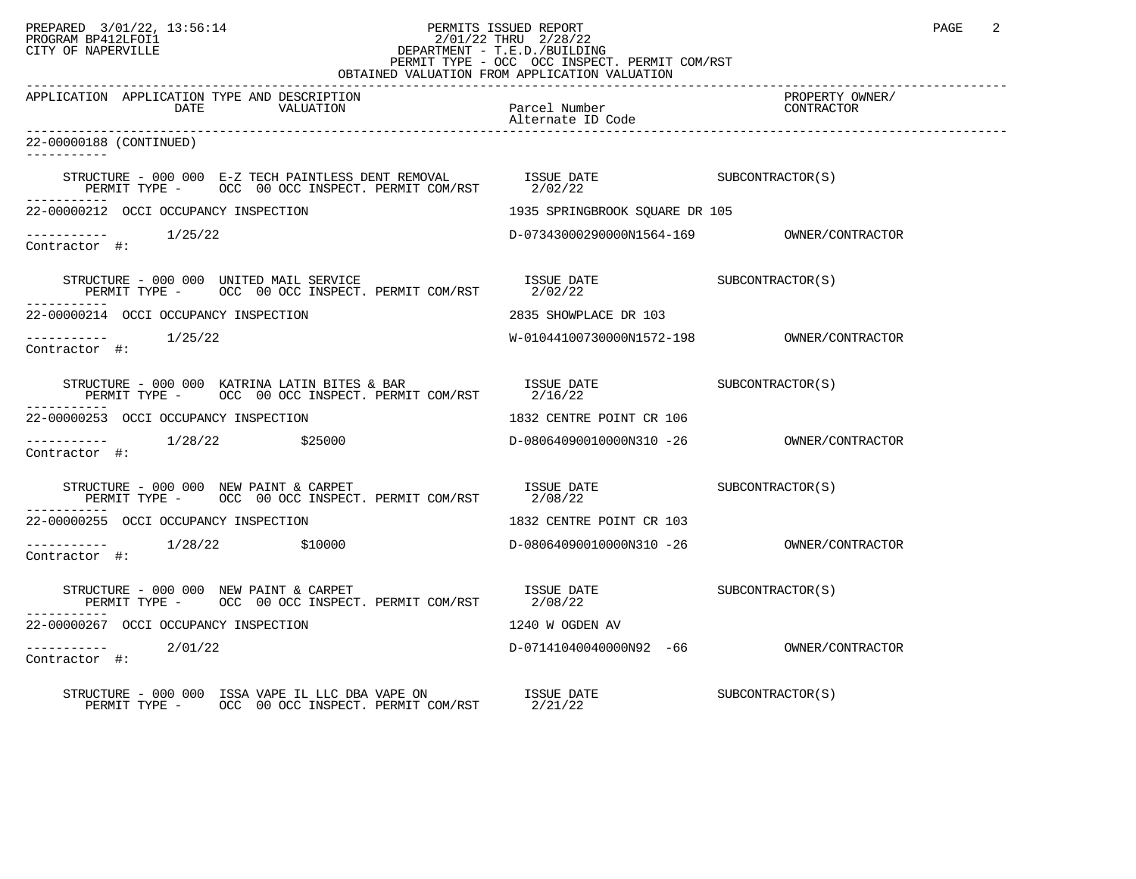## PREPARED 3/01/22, 13:56:14 PERMITS ISSUED REPORT<br>PROGRAM BP412LFOI1 PAGE 2/01/22 THRU 2/28/22 PROGRAM BP412LFOI1 2/01/22 THRU 2/28/22 CITY OF NAPERVILLE **Example 20** CITY OF NAPERVILLE PERMIT TYPE - OCC OCC INSPECT. PERMIT COM/RST

| OBTAINED VALUATION FROM APPLICATION VALUATION                                                                                                                       |                                                                                                                                                                                                                                                                                                                                                                                                                                                                                                                               |                               |  |  |
|---------------------------------------------------------------------------------------------------------------------------------------------------------------------|-------------------------------------------------------------------------------------------------------------------------------------------------------------------------------------------------------------------------------------------------------------------------------------------------------------------------------------------------------------------------------------------------------------------------------------------------------------------------------------------------------------------------------|-------------------------------|--|--|
| APPLICATION APPLICATION TYPE AND DESCRIPTION<br>DATE<br>VALUATION                                                                                                   | Parcel Number<br>Alternate ID Code                                                                                                                                                                                                                                                                                                                                                                                                                                                                                            | PROPERTY OWNER/<br>CONTRACTOR |  |  |
| 22-00000188 (CONTINUED)<br>-----------                                                                                                                              |                                                                                                                                                                                                                                                                                                                                                                                                                                                                                                                               |                               |  |  |
| STRUCTURE – 000 000 E-Z TECH PAINTLESS DENT REMOVAL ISSUE DATE SUBCONTRACTOR(S) PERMIT TYPE – OCC 00 OCC INSPECT. PERMIT COM/RST $2/02/22$                          |                                                                                                                                                                                                                                                                                                                                                                                                                                                                                                                               |                               |  |  |
| 22-00000212 OCCI OCCUPANCY INSPECTION                                                                                                                               | 1935 SPRINGBROOK SOUARE DR 105                                                                                                                                                                                                                                                                                                                                                                                                                                                                                                |                               |  |  |
| $------ 1/25/22$<br>Contractor #:                                                                                                                                   |                                                                                                                                                                                                                                                                                                                                                                                                                                                                                                                               |                               |  |  |
| STRUCTURE – 000 000 UNITED MAIL SERVICE $$$ ISSUE DATE $$$ SUBCONTRACTOR(S) $$$ PERMIT TYPE – $$\text{OCC}$$ 00 OCC INSPECT. PERMIT COM/RST $$2/02/22$$             |                                                                                                                                                                                                                                                                                                                                                                                                                                                                                                                               |                               |  |  |
| 22-00000214 OCCI OCCUPANCY INSPECTION                                                                                                                               | 2835 SHOWPLACE DR 103                                                                                                                                                                                                                                                                                                                                                                                                                                                                                                         |                               |  |  |
| $------ 1/25/22$<br>Contractor #:                                                                                                                                   |                                                                                                                                                                                                                                                                                                                                                                                                                                                                                                                               |                               |  |  |
|                                                                                                                                                                     |                                                                                                                                                                                                                                                                                                                                                                                                                                                                                                                               |                               |  |  |
| 22-00000253 OCCI OCCUPANCY INSPECTION                                                                                                                               | 1832 CENTRE POINT CR 106                                                                                                                                                                                                                                                                                                                                                                                                                                                                                                      |                               |  |  |
| ---------     1/28/22       \$25000              D-08064090010000N310 -26        OWNER/CONTRACTOR<br>Contractor #:                                                  |                                                                                                                                                                                                                                                                                                                                                                                                                                                                                                                               |                               |  |  |
| STRUCTURE - 000 000 NEW PAINT & CARPET $\frac{1}{2}$ is the part of $\frac{1}{2}$ is the contractor (S)<br>PERMIT TYPE - OCC 00 OCC INSPECT. PERMIT COM/RST 2/08/22 |                                                                                                                                                                                                                                                                                                                                                                                                                                                                                                                               |                               |  |  |
| 22-00000255 OCCI OCCUPANCY INSPECTION                                                                                                                               | 1832 CENTRE POINT CR 103                                                                                                                                                                                                                                                                                                                                                                                                                                                                                                      |                               |  |  |
| $------ 1/28/22$ \$10000<br>Contractor #:                                                                                                                           |                                                                                                                                                                                                                                                                                                                                                                                                                                                                                                                               |                               |  |  |
| STRUCTURE - 000 000 NEW PAINT & CARPET<br>PERMIT TYPE - OCC 00 OCC INSPECT. PERMIT COM/RST 2708/22                                                                  | $\begin{array}{ccccc}\n \text{ISSUE} & \text{DATE} & & & \text{SUBCONTRACTOR(S)} \\ \hline\n & \multicolumn{3}{c}{\text{SUS CONTRACTOR}} & \multicolumn{3}{c}{\text{SUS CONTRACTOR}} & \multicolumn{3}{c}{\text{SUS CONTRACTOR}} & \multicolumn{3}{c}{\text{SUS CONTRACTOR}} & \multicolumn{3}{c}{\text{SUS CONTRACTOR}} & \multicolumn{3}{c}{\text{SUS CONTRACTOR}} & \multicolumn{3}{c}{\text{SUS CONTRACTOR}} & \multicolumn{3}{c}{\text{SUS CONTRACTOR}} & \multicolumn{3}{c}{\text{SUS CONTRACTION}} & \multicolumn{3}{$ |                               |  |  |
| 22-00000267 OCCI OCCUPANCY INSPECTION                                                                                                                               | 1240 W OGDEN AV                                                                                                                                                                                                                                                                                                                                                                                                                                                                                                               |                               |  |  |
| $--------$ 2/01/22<br>Contractor #:                                                                                                                                 |                                                                                                                                                                                                                                                                                                                                                                                                                                                                                                                               |                               |  |  |
|                                                                                                                                                                     |                                                                                                                                                                                                                                                                                                                                                                                                                                                                                                                               |                               |  |  |